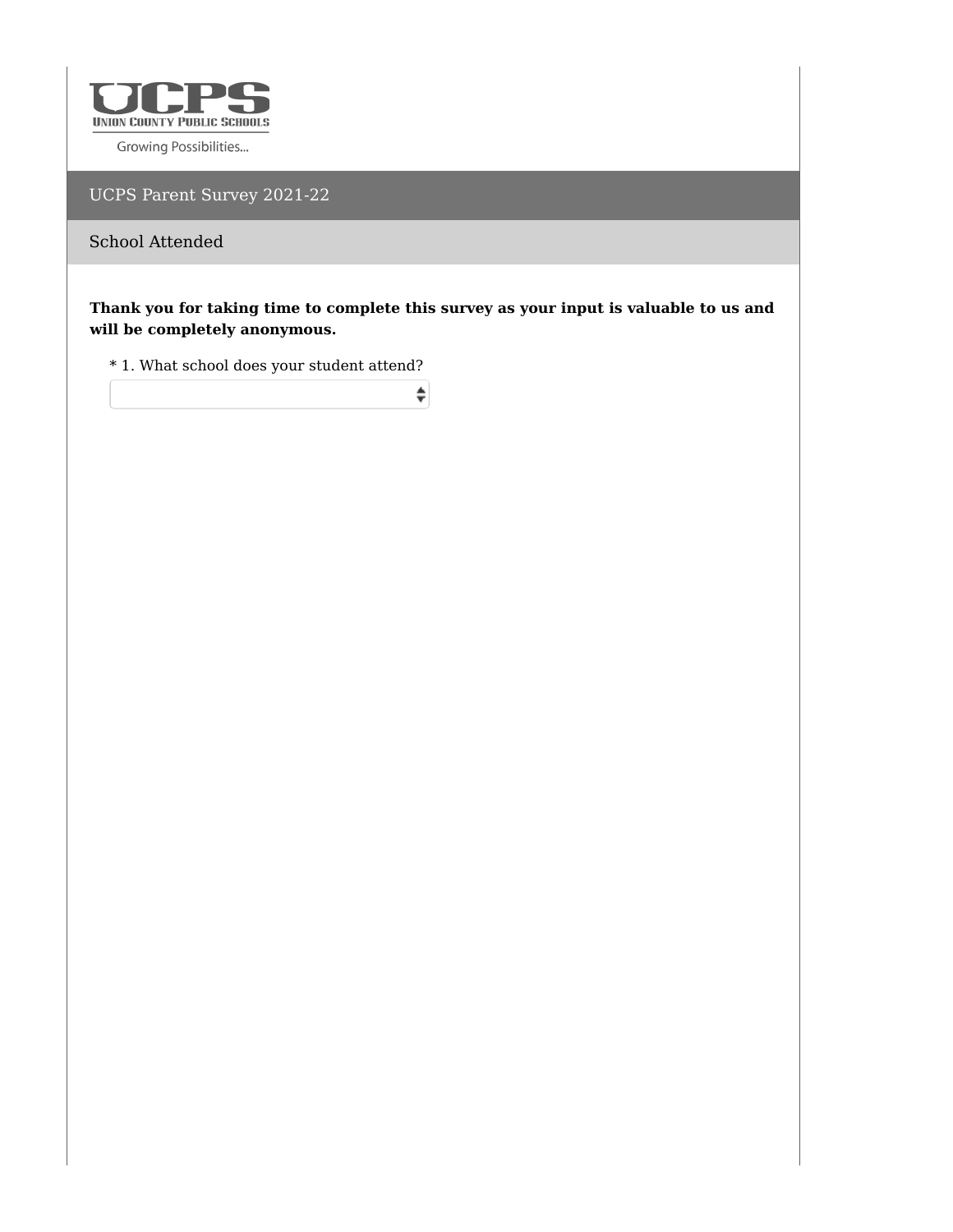

UCPS Parent Survey 2021-22

School Attended

**Thank you for taking time to complete this survey as your input is valuable to us and will be completely anonymous.**

 $\div$ 

 $^\ast$  1. What school does your student attend?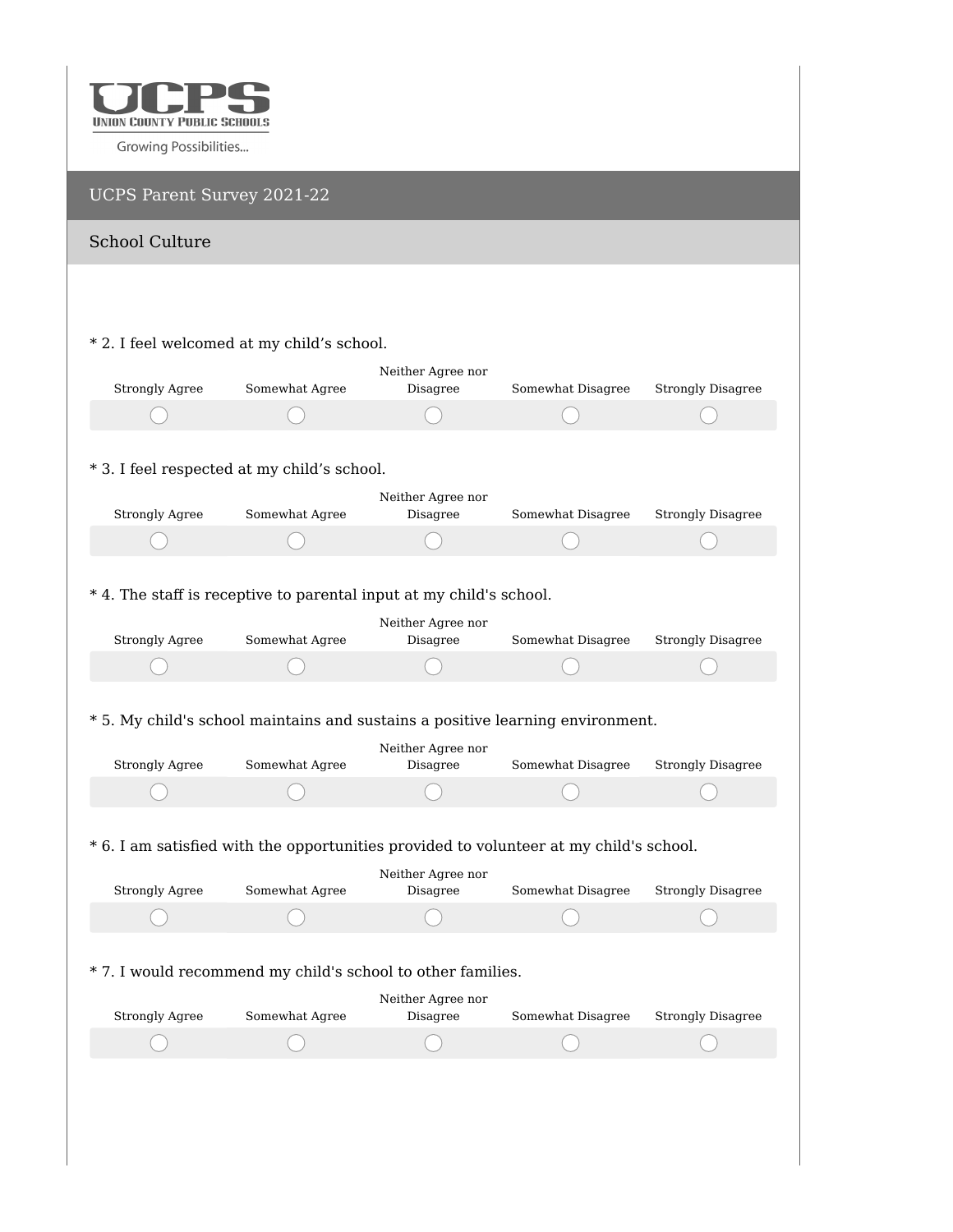

| UCPS Parent Survey 2021-22 |                                                                                        |                               |                   |                          |
|----------------------------|----------------------------------------------------------------------------------------|-------------------------------|-------------------|--------------------------|
| <b>School Culture</b>      |                                                                                        |                               |                   |                          |
|                            |                                                                                        |                               |                   |                          |
|                            |                                                                                        |                               |                   |                          |
|                            | * 2. I feel welcomed at my child's school.                                             |                               |                   |                          |
| <b>Strongly Agree</b>      | Somewhat Agree                                                                         | Neither Agree nor<br>Disagree | Somewhat Disagree | <b>Strongly Disagree</b> |
|                            |                                                                                        |                               |                   |                          |
|                            |                                                                                        |                               |                   |                          |
|                            | * 3. I feel respected at my child's school.                                            |                               |                   |                          |
|                            |                                                                                        | Neither Agree nor             |                   |                          |
| <b>Strongly Agree</b>      | Somewhat Agree                                                                         | Disagree                      | Somewhat Disagree | <b>Strongly Disagree</b> |
|                            |                                                                                        |                               |                   |                          |
|                            | * 4. The staff is receptive to parental input at my child's school.                    |                               |                   |                          |
|                            |                                                                                        | Neither Agree nor             |                   |                          |
| <b>Strongly Agree</b>      | Somewhat Agree                                                                         | Disagree                      | Somewhat Disagree | <b>Strongly Disagree</b> |
|                            |                                                                                        |                               |                   |                          |
|                            |                                                                                        |                               |                   |                          |
|                            | * 5. My child's school maintains and sustains a positive learning environment.         |                               |                   |                          |
| <b>Strongly Agree</b>      | Somewhat Agree                                                                         | Neither Agree nor<br>Disagree | Somewhat Disagree | <b>Strongly Disagree</b> |
|                            |                                                                                        |                               |                   |                          |
|                            |                                                                                        |                               |                   |                          |
|                            | * 6. I am satisfied with the opportunities provided to volunteer at my child's school. |                               |                   |                          |
|                            |                                                                                        | Neither Agree nor             |                   |                          |
| <b>Strongly Agree</b>      | Somewhat Agree                                                                         | Disagree                      | Somewhat Disagree | <b>Strongly Disagree</b> |
|                            |                                                                                        |                               |                   |                          |
|                            |                                                                                        |                               |                   |                          |
|                            | * 7. I would recommend my child's school to other families.                            |                               |                   |                          |
| <b>Strongly Agree</b>      | Somewhat Agree                                                                         | Neither Agree nor<br>Disagree | Somewhat Disagree | <b>Strongly Disagree</b> |
|                            |                                                                                        |                               |                   |                          |
|                            |                                                                                        |                               |                   |                          |
|                            |                                                                                        |                               |                   |                          |
|                            |                                                                                        |                               |                   |                          |
|                            |                                                                                        |                               |                   |                          |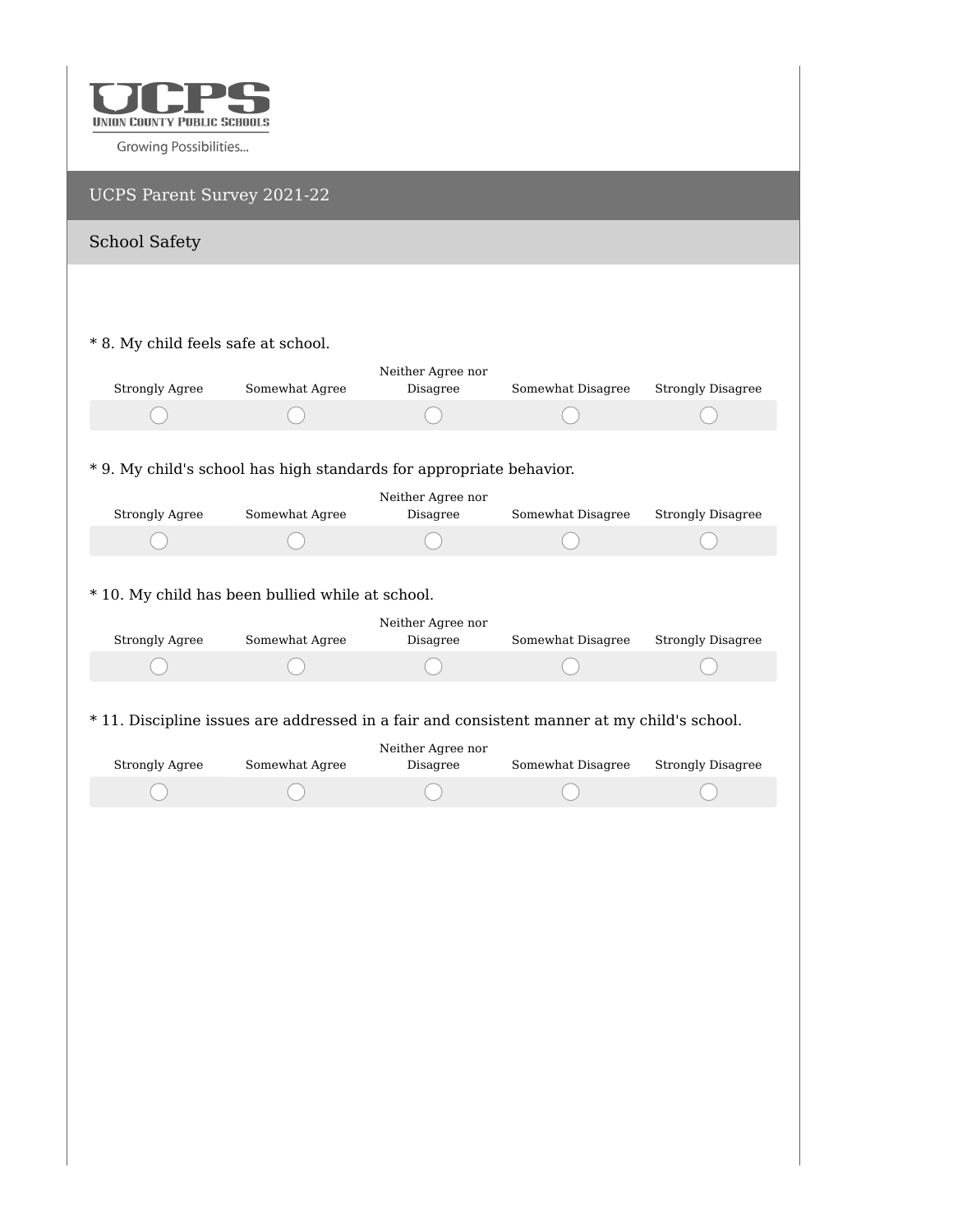

| UCPS Parent Survey 2021-22          |                                                                                             |                               |                   |                          |
|-------------------------------------|---------------------------------------------------------------------------------------------|-------------------------------|-------------------|--------------------------|
| <b>School Safety</b>                |                                                                                             |                               |                   |                          |
|                                     |                                                                                             |                               |                   |                          |
|                                     |                                                                                             |                               |                   |                          |
| * 8. My child feels safe at school. |                                                                                             |                               |                   |                          |
| <b>Strongly Agree</b>               | Somewhat Agree                                                                              | Neither Agree nor<br>Disagree | Somewhat Disagree | <b>Strongly Disagree</b> |
|                                     |                                                                                             |                               |                   |                          |
|                                     |                                                                                             |                               |                   |                          |
|                                     | * 9. My child's school has high standards for appropriate behavior.                         |                               |                   |                          |
| <b>Strongly Agree</b>               | Somewhat Agree                                                                              | Neither Agree nor<br>Disagree | Somewhat Disagree | <b>Strongly Disagree</b> |
|                                     |                                                                                             |                               |                   |                          |
|                                     |                                                                                             |                               |                   |                          |
|                                     | * 10. My child has been bullied while at school.                                            | Neither Agree nor             |                   |                          |
| <b>Strongly Agree</b>               | Somewhat Agree                                                                              | Disagree                      | Somewhat Disagree | <b>Strongly Disagree</b> |
|                                     |                                                                                             |                               |                   |                          |
|                                     |                                                                                             |                               |                   |                          |
|                                     | * 11. Discipline issues are addressed in a fair and consistent manner at my child's school. | Neither Agree nor             |                   |                          |
| <b>Strongly Agree</b>               | Somewhat Agree                                                                              | Disagree                      | Somewhat Disagree | <b>Strongly Disagree</b> |
|                                     |                                                                                             |                               |                   |                          |
|                                     |                                                                                             |                               |                   |                          |
|                                     |                                                                                             |                               |                   |                          |
|                                     |                                                                                             |                               |                   |                          |
|                                     |                                                                                             |                               |                   |                          |
|                                     |                                                                                             |                               |                   |                          |
|                                     |                                                                                             |                               |                   |                          |
|                                     |                                                                                             |                               |                   |                          |
|                                     |                                                                                             |                               |                   |                          |
|                                     |                                                                                             |                               |                   |                          |
|                                     |                                                                                             |                               |                   |                          |
|                                     |                                                                                             |                               |                   |                          |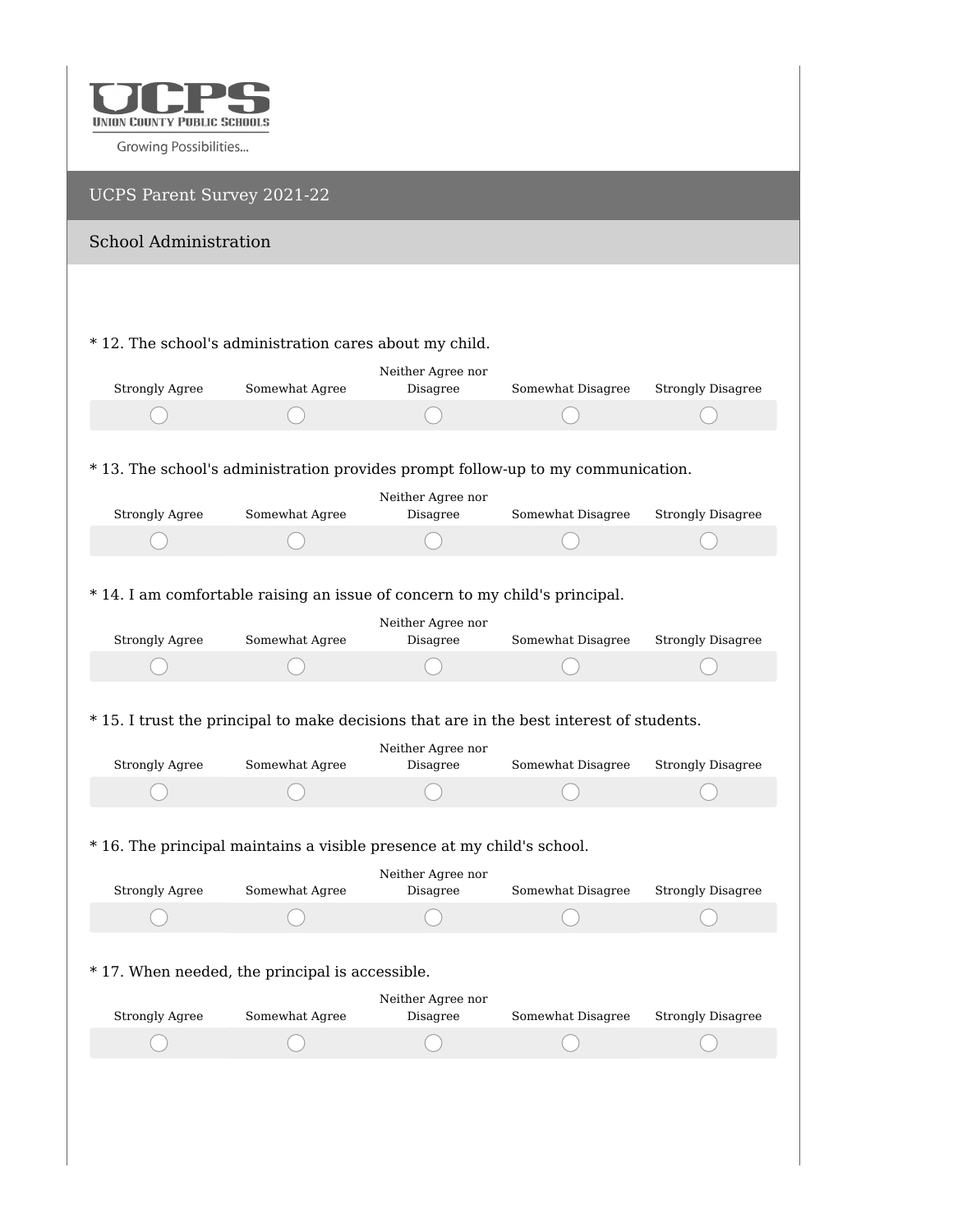

## UCPS Parent Survey 2021-22 School Administration \* 12. The school's administration cares about my child. Neither Agree nor Disagree Somewhat Disagree Strongly Disagree Strongly Agree Somewhat Agree \* 13. The school's administration provides prompt follow-up to my communication. Neither Agree nor Strongly Agree Somewhat Agree Disagree Somewhat Disagree Strongly Disagree  $\bigcap$ ⊆ 1 \* 14. I am comfortable raising an issue of concern to my child's principal. Neither Agree nor Strongly Agree Somewhat Agree Disagree Somewhat Disagree Strongly Disagree \* 15. I trust the principal to make decisions that are in the best interest of students. Neither Agree nor Strongly Agree Somewhat Agree Disagree Somewhat Disagree Strongly Disagree \* 16. The principal maintains a visible presence at my child's school. Neither Agree nor Strongly Agree Somewhat Agree Disagree Somewhat Disagree Strongly Disagree \* 17. When needed, the principal is accessible.Neither Agree nor Strongly Agree Somewhat Agree Disagree Somewhat Disagree Strongly Disagree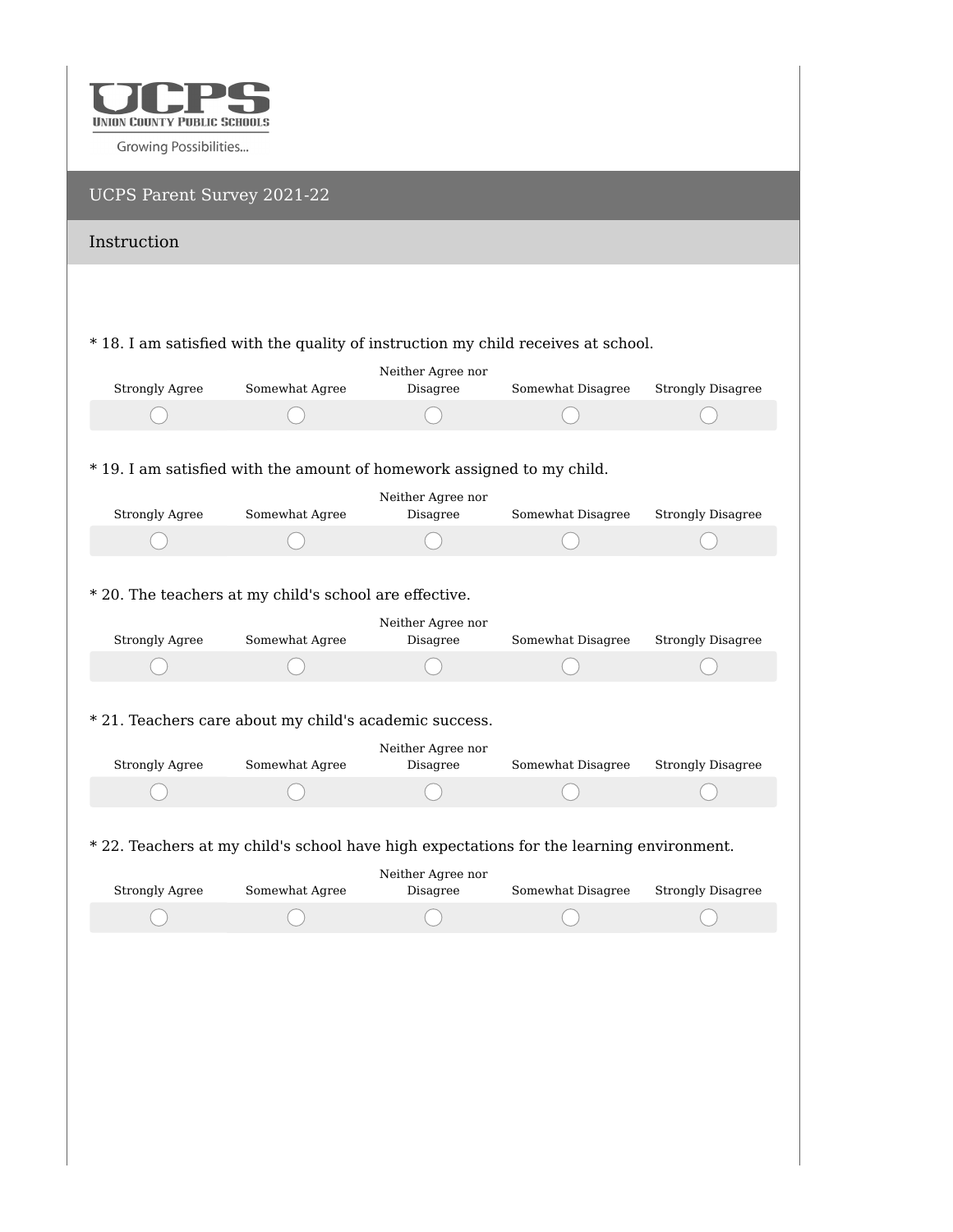

| UCPS Parent Survey 2021-22 |                                                                                          |                               |                   |                          |
|----------------------------|------------------------------------------------------------------------------------------|-------------------------------|-------------------|--------------------------|
| Instruction                |                                                                                          |                               |                   |                          |
|                            |                                                                                          |                               |                   |                          |
|                            | * 18. I am satisfied with the quality of instruction my child receives at school.        |                               |                   |                          |
|                            |                                                                                          | Neither Agree nor             |                   |                          |
| <b>Strongly Agree</b>      | Somewhat Agree                                                                           | Disagree                      | Somewhat Disagree | <b>Strongly Disagree</b> |
|                            |                                                                                          |                               |                   |                          |
|                            |                                                                                          |                               |                   |                          |
|                            | * 19. I am satisfied with the amount of homework assigned to my child.                   |                               |                   |                          |
|                            |                                                                                          | Neither Agree nor             |                   |                          |
| <b>Strongly Agree</b>      | Somewhat Agree                                                                           | Disagree                      | Somewhat Disagree | <b>Strongly Disagree</b> |
|                            |                                                                                          |                               |                   |                          |
|                            |                                                                                          |                               |                   |                          |
|                            | * 20. The teachers at my child's school are effective.                                   |                               |                   |                          |
| <b>Strongly Agree</b>      | Somewhat Agree                                                                           | Neither Agree nor<br>Disagree | Somewhat Disagree | <b>Strongly Disagree</b> |
|                            |                                                                                          |                               |                   |                          |
|                            |                                                                                          |                               |                   |                          |
|                            | * 21. Teachers care about my child's academic success.                                   |                               |                   |                          |
|                            |                                                                                          | Neither Agree nor             |                   |                          |
| <b>Strongly Agree</b>      | Somewhat Agree                                                                           | Disagree                      | Somewhat Disagree | <b>Strongly Disagree</b> |
|                            |                                                                                          |                               |                   |                          |
|                            |                                                                                          |                               |                   |                          |
|                            | * 22. Teachers at my child's school have high expectations for the learning environment. |                               |                   |                          |
|                            |                                                                                          | Neither Agree nor             |                   |                          |
| <b>Strongly Agree</b>      | Somewhat Agree                                                                           | Disagree                      | Somewhat Disagree | <b>Strongly Disagree</b> |
|                            |                                                                                          |                               |                   |                          |
|                            |                                                                                          |                               |                   |                          |
|                            |                                                                                          |                               |                   |                          |
|                            |                                                                                          |                               |                   |                          |
|                            |                                                                                          |                               |                   |                          |
|                            |                                                                                          |                               |                   |                          |
|                            |                                                                                          |                               |                   |                          |
|                            |                                                                                          |                               |                   |                          |
|                            |                                                                                          |                               |                   |                          |
|                            |                                                                                          |                               |                   |                          |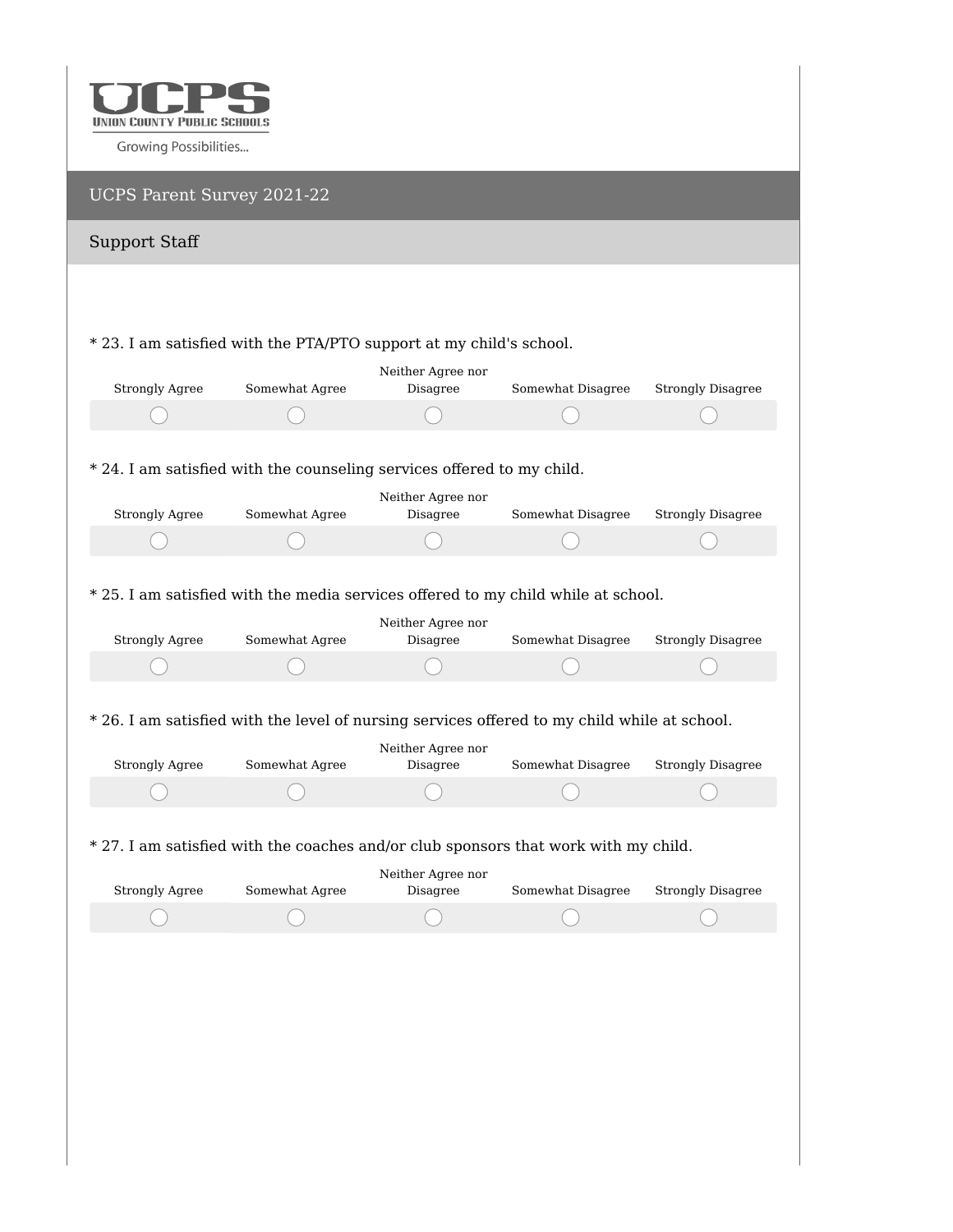

| UCPS Parent Survey 2021-22 |                                                                                              |                               |                   |                          |
|----------------------------|----------------------------------------------------------------------------------------------|-------------------------------|-------------------|--------------------------|
| <b>Support Staff</b>       |                                                                                              |                               |                   |                          |
|                            |                                                                                              |                               |                   |                          |
|                            |                                                                                              |                               |                   |                          |
|                            | * 23. I am satisfied with the PTA/PTO support at my child's school.                          | Neither Agree nor             |                   |                          |
| <b>Strongly Agree</b>      | Somewhat Agree                                                                               | Disagree                      | Somewhat Disagree | <b>Strongly Disagree</b> |
|                            |                                                                                              |                               |                   |                          |
|                            |                                                                                              |                               |                   |                          |
|                            | * 24. I am satisfied with the counseling services offered to my child.                       |                               |                   |                          |
| <b>Strongly Agree</b>      | Somewhat Agree                                                                               | Neither Agree nor<br>Disagree | Somewhat Disagree | <b>Strongly Disagree</b> |
|                            |                                                                                              |                               |                   |                          |
|                            |                                                                                              |                               |                   |                          |
|                            | * 25. I am satisfied with the media services offered to my child while at school.            |                               |                   |                          |
|                            |                                                                                              | Neither Agree nor             |                   |                          |
| <b>Strongly Agree</b>      | Somewhat Agree                                                                               | Disagree                      | Somewhat Disagree | <b>Strongly Disagree</b> |
|                            |                                                                                              |                               |                   |                          |
|                            |                                                                                              |                               |                   |                          |
|                            | * 26. I am satisfied with the level of nursing services offered to my child while at school. |                               |                   |                          |
| <b>Strongly Agree</b>      | Somewhat Agree                                                                               | Neither Agree nor<br>Disagree | Somewhat Disagree | <b>Strongly Disagree</b> |
|                            |                                                                                              |                               |                   |                          |
|                            |                                                                                              |                               |                   |                          |
|                            | * 27. I am satisfied with the coaches and/or club sponsors that work with my child.          |                               |                   |                          |
|                            |                                                                                              | Neither Agree nor             |                   |                          |
| <b>Strongly Agree</b>      | Somewhat Agree                                                                               | Disagree                      | Somewhat Disagree | <b>Strongly Disagree</b> |
|                            |                                                                                              |                               |                   |                          |
|                            |                                                                                              |                               |                   |                          |
|                            |                                                                                              |                               |                   |                          |
|                            |                                                                                              |                               |                   |                          |
|                            |                                                                                              |                               |                   |                          |
|                            |                                                                                              |                               |                   |                          |
|                            |                                                                                              |                               |                   |                          |
|                            |                                                                                              |                               |                   |                          |
|                            |                                                                                              |                               |                   |                          |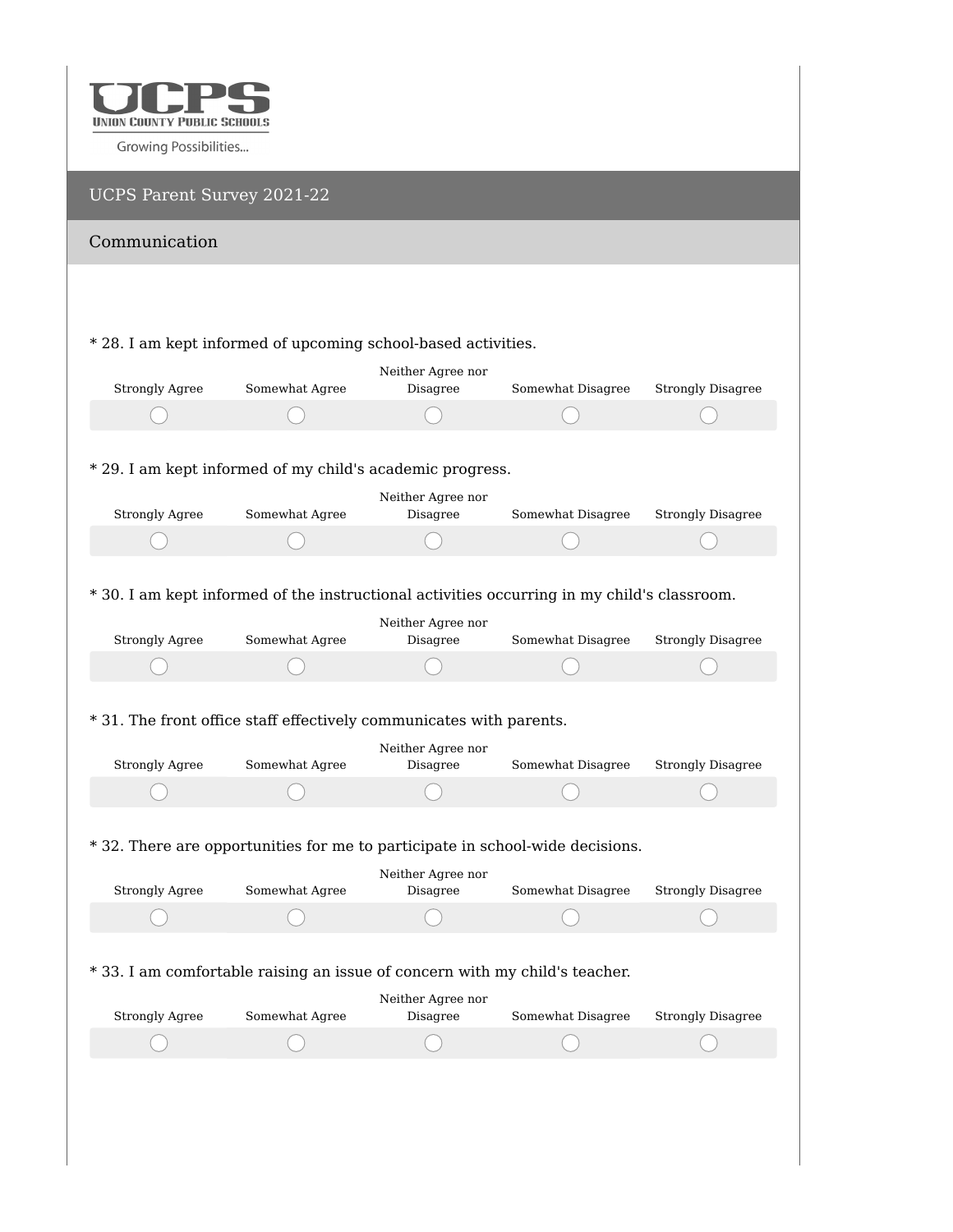

| UCPS Parent Survey 2021-22                                                                  |                |                               |                   |                          |
|---------------------------------------------------------------------------------------------|----------------|-------------------------------|-------------------|--------------------------|
| Communication                                                                               |                |                               |                   |                          |
|                                                                                             |                |                               |                   |                          |
|                                                                                             |                |                               |                   |                          |
| * 28. I am kept informed of upcoming school-based activities.                               |                |                               |                   |                          |
| <b>Strongly Agree</b>                                                                       | Somewhat Agree | Neither Agree nor<br>Disagree | Somewhat Disagree | <b>Strongly Disagree</b> |
|                                                                                             |                |                               |                   |                          |
|                                                                                             |                |                               |                   |                          |
| * 29. I am kept informed of my child's academic progress.                                   |                |                               |                   |                          |
|                                                                                             |                | Neither Agree nor             |                   |                          |
| <b>Strongly Agree</b>                                                                       | Somewhat Agree | Disagree                      | Somewhat Disagree | <b>Strongly Disagree</b> |
|                                                                                             |                |                               |                   |                          |
|                                                                                             |                |                               |                   |                          |
| * 30. I am kept informed of the instructional activities occurring in my child's classroom. |                |                               |                   |                          |
|                                                                                             |                | Neither Agree nor             |                   |                          |
| <b>Strongly Agree</b>                                                                       | Somewhat Agree | Disagree                      | Somewhat Disagree | <b>Strongly Disagree</b> |
|                                                                                             |                |                               |                   |                          |
|                                                                                             |                |                               |                   |                          |
| * 31. The front office staff effectively communicates with parents.                         |                |                               |                   |                          |
|                                                                                             |                | Neither Agree nor             |                   |                          |
| <b>Strongly Agree</b>                                                                       | Somewhat Agree | Disagree                      | Somewhat Disagree | <b>Strongly Disagree</b> |
|                                                                                             |                |                               |                   |                          |
|                                                                                             |                |                               |                   |                          |
| * 32. There are opportunities for me to participate in school-wide decisions.               |                |                               |                   |                          |
|                                                                                             |                | Neither Agree nor             |                   |                          |
| <b>Strongly Agree</b>                                                                       | Somewhat Agree | Disagree                      | Somewhat Disagree | <b>Strongly Disagree</b> |
|                                                                                             |                |                               |                   |                          |
|                                                                                             |                |                               |                   |                          |
| * 33. I am comfortable raising an issue of concern with my child's teacher.                 |                |                               |                   |                          |
|                                                                                             |                | Neither Agree nor             |                   |                          |
| <b>Strongly Agree</b>                                                                       | Somewhat Agree | Disagree                      | Somewhat Disagree | <b>Strongly Disagree</b> |
|                                                                                             |                |                               |                   |                          |
|                                                                                             |                |                               |                   |                          |
|                                                                                             |                |                               |                   |                          |
|                                                                                             |                |                               |                   |                          |
|                                                                                             |                |                               |                   |                          |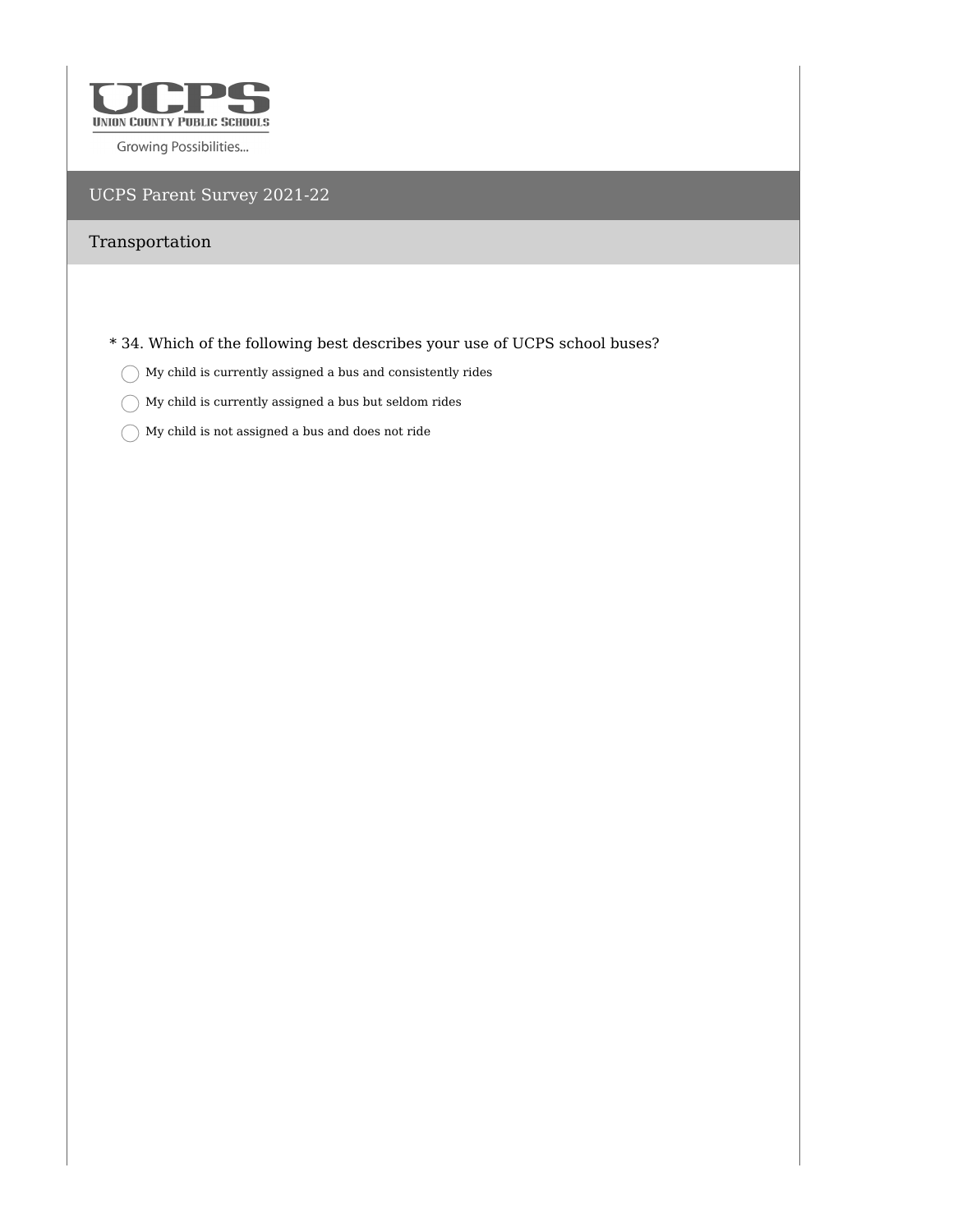

## UCPS Parent Survey 2021-22

## Transportation

\* 34. Which of the following best describes your use of UCPS school buses?

- $\bigcirc$  My child is currently assigned a bus and consistently rides
- $\bigcirc$  My child is currently assigned a bus but seldom rides
- $\bigcirc$  My child is not assigned a bus and does not ride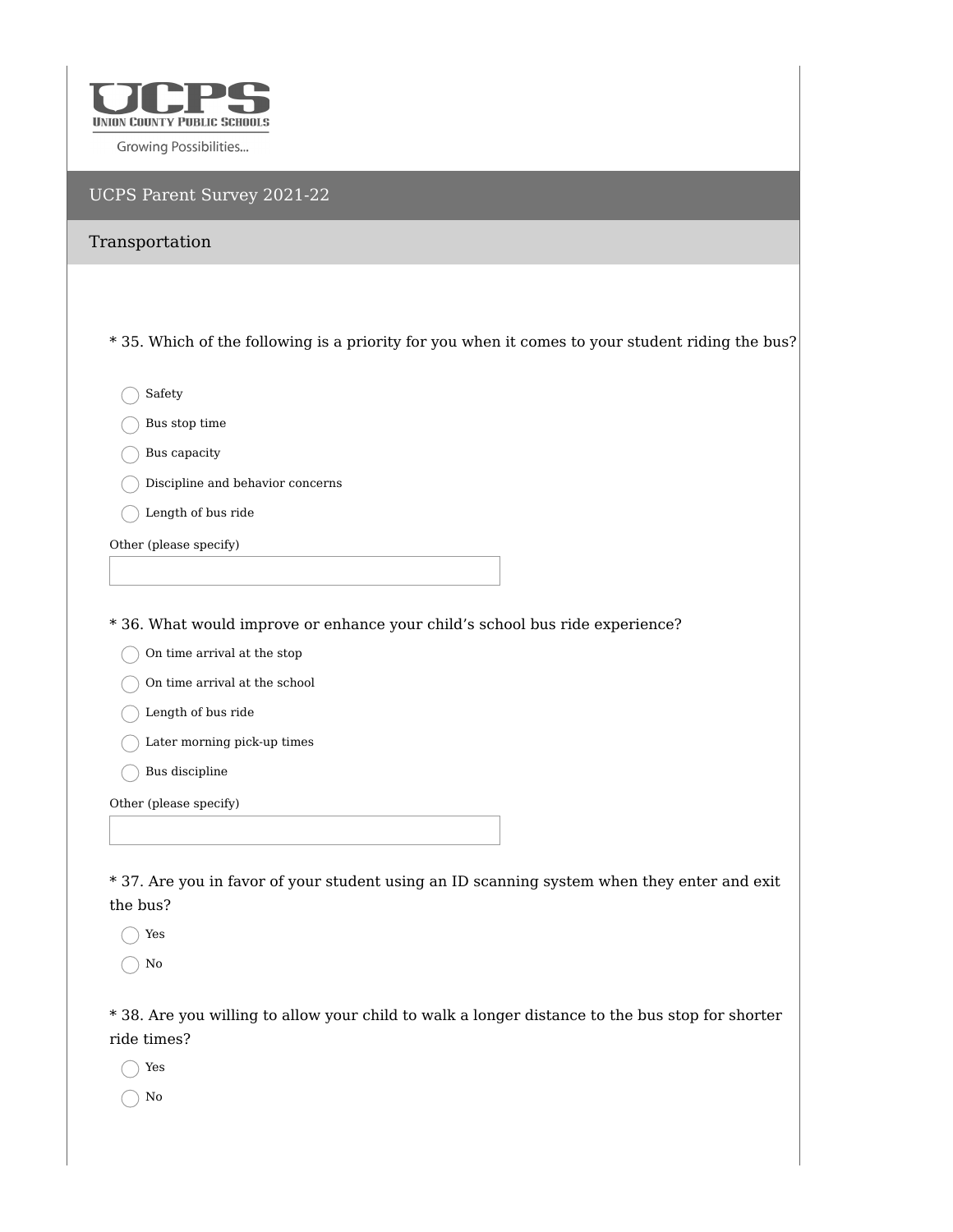

|  | UCPS Parent Survey 2021-22 |
|--|----------------------------|
|  |                            |

| Transportation                                                                                   |
|--------------------------------------------------------------------------------------------------|
|                                                                                                  |
| * 35. Which of the following is a priority for you when it comes to your student riding the bus? |
| Safety                                                                                           |
| Bus stop time                                                                                    |
| Bus capacity                                                                                     |
| Discipline and behavior concerns                                                                 |
| Length of bus ride                                                                               |
| Other (please specify)                                                                           |
|                                                                                                  |
|                                                                                                  |
| * 36. What would improve or enhance your child's school bus ride experience?                     |
| On time arrival at the stop<br>On time arrival at the school                                     |
| Length of bus ride                                                                               |
| Later morning pick-up times                                                                      |
| Bus discipline                                                                                   |
|                                                                                                  |
| Other (please specify)                                                                           |
|                                                                                                  |
| * 37. Are you in favor of your student using an ID scanning system when they enter and exit      |
| the bus?                                                                                         |
| Yes                                                                                              |

 $\bigcirc$  No

\* 38. Are you willing to allow your child to walk a longer distance to the bus stop for shorter ride times?

Yes

No